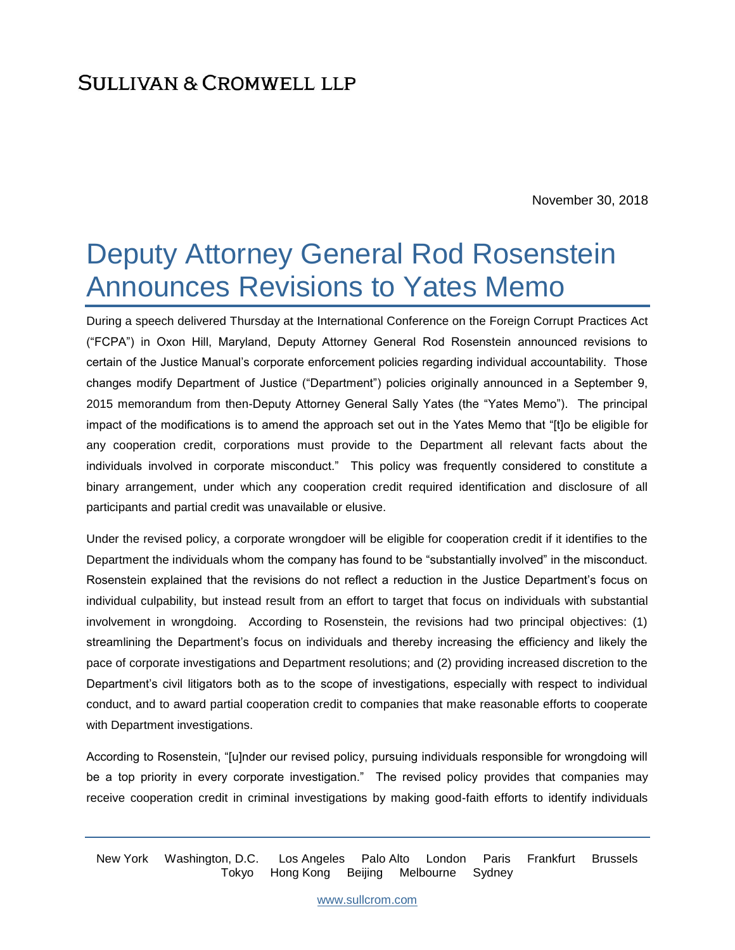November 30, 2018

# Deputy Attorney General Rod Rosenstein Announces Revisions to Yates Memo

During a speech delivered Thursday at the International Conference on the Foreign Corrupt Practices Act ("FCPA") in Oxon Hill, Maryland, Deputy Attorney General Rod Rosenstein announced revisions to certain of the Justice Manual's corporate enforcement policies regarding individual accountability. Those changes modify Department of Justice ("Department") policies originally announced in a September 9, 2015 memorandum from then-Deputy Attorney General Sally Yates (the "Yates Memo"). The principal impact of the modifications is to amend the approach set out in the Yates Memo that "[t]o be eligible for any cooperation credit, corporations must provide to the Department all relevant facts about the individuals involved in corporate misconduct." This policy was frequently considered to constitute a binary arrangement, under which any cooperation credit required identification and disclosure of all participants and partial credit was unavailable or elusive.

Under the revised policy, a corporate wrongdoer will be eligible for cooperation credit if it identifies to the Department the individuals whom the company has found to be "substantially involved" in the misconduct. Rosenstein explained that the revisions do not reflect a reduction in the Justice Department's focus on individual culpability, but instead result from an effort to target that focus on individuals with substantial involvement in wrongdoing. According to Rosenstein, the revisions had two principal objectives: (1) streamlining the Department's focus on individuals and thereby increasing the efficiency and likely the pace of corporate investigations and Department resolutions; and (2) providing increased discretion to the Department's civil litigators both as to the scope of investigations, especially with respect to individual conduct, and to award partial cooperation credit to companies that make reasonable efforts to cooperate with Department investigations.

According to Rosenstein, "[u]nder our revised policy, pursuing individuals responsible for wrongdoing will be a top priority in every corporate investigation." The revised policy provides that companies may receive cooperation credit in criminal investigations by making good-faith efforts to identify individuals

New York Washington, D.C. Los Angeles Palo Alto London Paris Frankfurt Brussels Tokyo Hong Kong Beijing Melbourne Sydney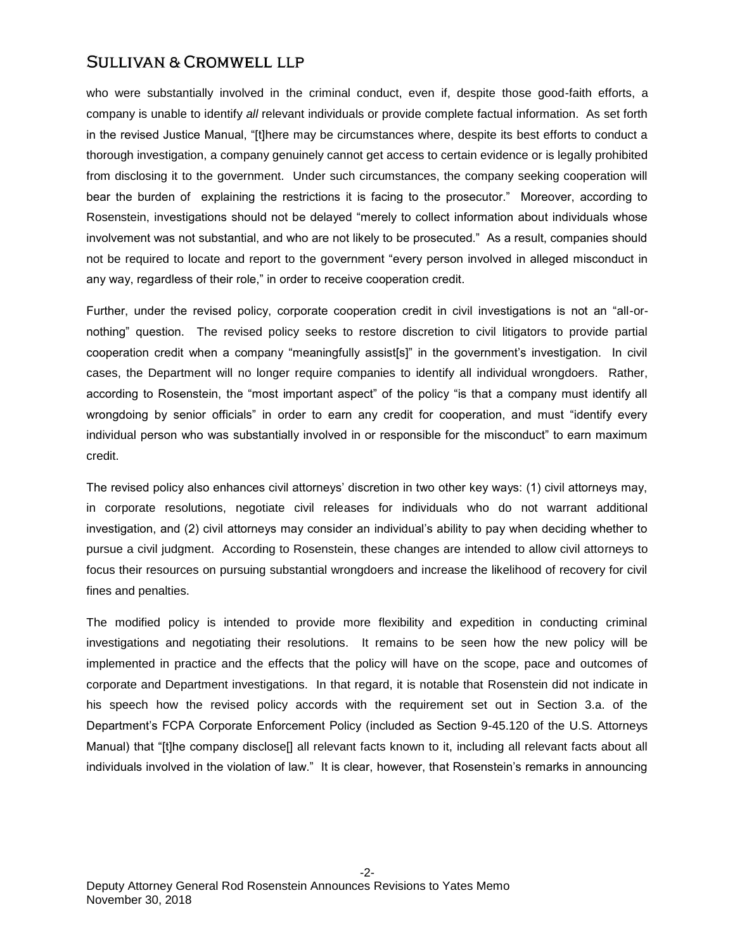who were substantially involved in the criminal conduct, even if, despite those good-faith efforts, a company is unable to identify *all* relevant individuals or provide complete factual information. As set forth in the revised Justice Manual, "[t]here may be circumstances where, despite its best efforts to conduct a thorough investigation, a company genuinely cannot get access to certain evidence or is legally prohibited from disclosing it to the government. Under such circumstances, the company seeking cooperation will bear the burden of explaining the restrictions it is facing to the prosecutor." Moreover, according to Rosenstein, investigations should not be delayed "merely to collect information about individuals whose involvement was not substantial, and who are not likely to be prosecuted." As a result, companies should not be required to locate and report to the government "every person involved in alleged misconduct in any way, regardless of their role," in order to receive cooperation credit.

Further, under the revised policy, corporate cooperation credit in civil investigations is not an "all-ornothing" question. The revised policy seeks to restore discretion to civil litigators to provide partial cooperation credit when a company "meaningfully assist[s]" in the government's investigation. In civil cases, the Department will no longer require companies to identify all individual wrongdoers. Rather, according to Rosenstein, the "most important aspect" of the policy "is that a company must identify all wrongdoing by senior officials" in order to earn any credit for cooperation, and must "identify every individual person who was substantially involved in or responsible for the misconduct" to earn maximum credit.

The revised policy also enhances civil attorneys' discretion in two other key ways: (1) civil attorneys may, in corporate resolutions, negotiate civil releases for individuals who do not warrant additional investigation, and (2) civil attorneys may consider an individual's ability to pay when deciding whether to pursue a civil judgment. According to Rosenstein, these changes are intended to allow civil attorneys to focus their resources on pursuing substantial wrongdoers and increase the likelihood of recovery for civil fines and penalties.

The modified policy is intended to provide more flexibility and expedition in conducting criminal investigations and negotiating their resolutions. It remains to be seen how the new policy will be implemented in practice and the effects that the policy will have on the scope, pace and outcomes of corporate and Department investigations. In that regard, it is notable that Rosenstein did not indicate in his speech how the revised policy accords with the requirement set out in Section 3.a. of the Department's FCPA Corporate Enforcement Policy (included as Section 9-45.120 of the U.S. Attorneys Manual) that "[t]he company disclose[] all relevant facts known to it, including all relevant facts about all individuals involved in the violation of law." It is clear, however, that Rosenstein's remarks in announcing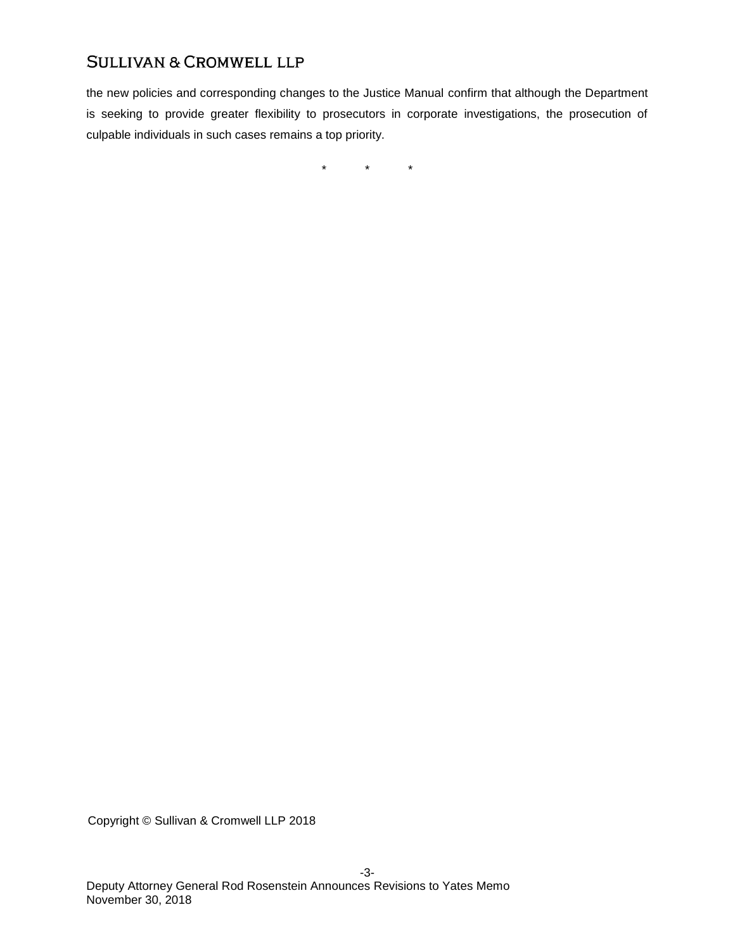the new policies and corresponding changes to the Justice Manual confirm that although the Department is seeking to provide greater flexibility to prosecutors in corporate investigations, the prosecution of culpable individuals in such cases remains a top priority.

 $\star$   $\star$   $\star$ 

Copyright © Sullivan & Cromwell LLP 2018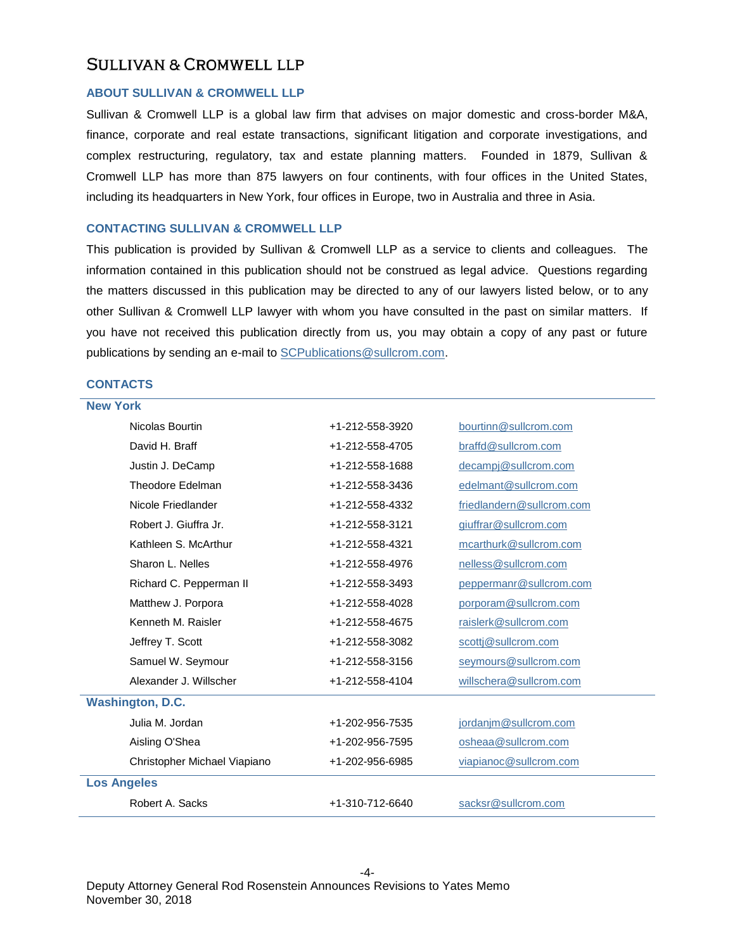#### **ABOUT SULLIVAN & CROMWELL LLP**

Sullivan & Cromwell LLP is a global law firm that advises on major domestic and cross-border M&A, finance, corporate and real estate transactions, significant litigation and corporate investigations, and complex restructuring, regulatory, tax and estate planning matters. Founded in 1879, Sullivan & Cromwell LLP has more than 875 lawyers on four continents, with four offices in the United States, including its headquarters in New York, four offices in Europe, two in Australia and three in Asia.

#### **CONTACTING SULLIVAN & CROMWELL LLP**

This publication is provided by Sullivan & Cromwell LLP as a service to clients and colleagues. The information contained in this publication should not be construed as legal advice. Questions regarding the matters discussed in this publication may be directed to any of our lawyers listed below, or to any other Sullivan & Cromwell LLP lawyer with whom you have consulted in the past on similar matters. If you have not received this publication directly from us, you may obtain a copy of any past or future publications by sending an e-mail to [SCPublications@sullcrom.com.](mailto:SCPublications@sullcrom.com)

#### **CONTACTS**

| <b>New York</b>              |                 |                           |  |
|------------------------------|-----------------|---------------------------|--|
| Nicolas Bourtin              | +1-212-558-3920 | bourtinn@sullcrom.com     |  |
| David H. Braff               | +1-212-558-4705 | braffd@sullcrom.com       |  |
| Justin J. DeCamp             | +1-212-558-1688 | decampj@sullcrom.com      |  |
| <b>Theodore Edelman</b>      | +1-212-558-3436 | edelmant@sullcrom.com     |  |
| Nicole Friedlander           | +1-212-558-4332 | friedlandern@sullcrom.com |  |
| Robert J. Giuffra Jr.        | +1-212-558-3121 | giuffrar@sullcrom.com     |  |
| Kathleen S. McArthur         | +1-212-558-4321 | mcarthurk@sullcrom.com    |  |
| Sharon L. Nelles             | +1-212-558-4976 | nelless@sullcrom.com      |  |
| Richard C. Pepperman II      | +1-212-558-3493 | peppermanr@sullcrom.com   |  |
| Matthew J. Porpora           | +1-212-558-4028 | porporam@sullcrom.com     |  |
| Kenneth M. Raisler           | +1-212-558-4675 | raislerk@sullcrom.com     |  |
| Jeffrey T. Scott             | +1-212-558-3082 | scottj@sullcrom.com       |  |
| Samuel W. Seymour            | +1-212-558-3156 | seymours@sullcrom.com     |  |
| Alexander J. Willscher       | +1-212-558-4104 | willschera@sullcrom.com   |  |
| <b>Washington, D.C.</b>      |                 |                           |  |
| Julia M. Jordan              | +1-202-956-7535 | jordanjm@sullcrom.com     |  |
| Aisling O'Shea               | +1-202-956-7595 | osheaa@sullcrom.com       |  |
| Christopher Michael Viapiano | +1-202-956-6985 | viapianoc@sullcrom.com    |  |
| <b>Los Angeles</b>           |                 |                           |  |
| Robert A. Sacks              | +1-310-712-6640 | sacksr@sullcrom.com       |  |